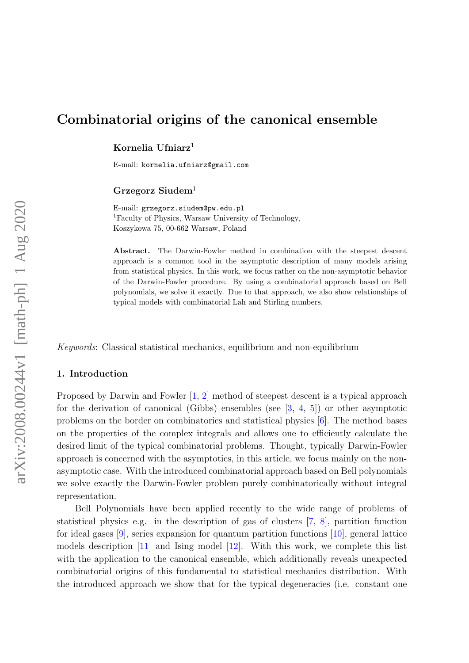# Combinatorial origins of the canonical ensemble

Kornelia Ufniarz<sup>1</sup>

E-mail: kornelia.ufniarz@gmail.com

# Grzegorz Siudem<sup>1</sup>

E-mail: grzegorz.siudem@pw.edu.pl <sup>1</sup>Faculty of Physics, Warsaw University of Technology, Koszykowa 75, 00-662 Warsaw, Poland

Abstract. The Darwin-Fowler method in combination with the steepest descent approach is a common tool in the asymptotic description of many models arising from statistical physics. In this work, we focus rather on the non-asymptotic behavior of the Darwin-Fowler procedure. By using a combinatorial approach based on Bell polynomials, we solve it exactly. Due to that approach, we also show relationships of typical models with combinatorial Lah and Stirling numbers.

Keywords: Classical statistical mechanics, equilibrium and non-equilibrium

#### 1. Introduction

Proposed by Darwin and Fowler [\[1,](#page-9-0) [2\]](#page-9-1) method of steepest descent is a typical approach for the derivation of canonical (Gibbs) ensembles (see  $[3, 4, 5]$  $[3, 4, 5]$  $[3, 4, 5]$  $[3, 4, 5]$ ) or other asymptotic problems on the border on combinatorics and statistical physics [\[6\]](#page-9-5). The method bases on the properties of the complex integrals and allows one to efficiently calculate the desired limit of the typical combinatorial problems. Thought, typically Darwin-Fowler approach is concerned with the asymptotics, in this article, we focus mainly on the nonasymptotic case. With the introduced combinatorial approach based on Bell polynomials we solve exactly the Darwin-Fowler problem purely combinatorically without integral representation.

Bell Polynomials have been applied recently to the wide range of problems of statistical physics e.g. in the description of gas of clusters [\[7,](#page-9-6) [8\]](#page-9-7), partition function for ideal gases  $[9]$ , series expansion for quantum partition functions  $[10]$ , general lattice models description [\[11\]](#page-9-10) and Ising model [\[12\]](#page-9-11). With this work, we complete this list with the application to the canonical ensemble, which additionally reveals unexpected combinatorial origins of this fundamental to statistical mechanics distribution. With the introduced approach we show that for the typical degeneracies (i.e. constant one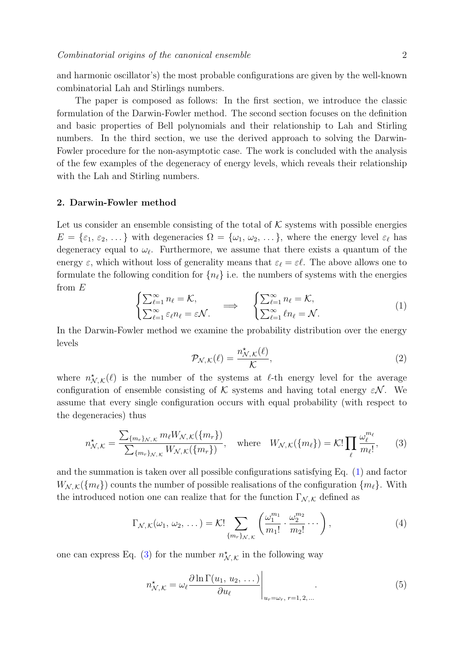and harmonic oscillator's) the most probable configurations are given by the well-known combinatorial Lah and Stirlings numbers.

The paper is composed as follows: In the first section, we introduce the classic formulation of the Darwin-Fowler method. The second section focuses on the definition and basic properties of Bell polynomials and their relationship to Lah and Stirling numbers. In the third section, we use the derived approach to solving the Darwin-Fowler procedure for the non-asymptotic case. The work is concluded with the analysis of the few examples of the degeneracy of energy levels, which reveals their relationship with the Lah and Stirling numbers.

### 2. Darwin-Fowler method

Let us consider an ensemble consisting of the total of  $K$  systems with possible energies  $E = \{\varepsilon_1, \varepsilon_2, \dots\}$  with degeneracies  $\Omega = \{\omega_1, \omega_2, \dots\}$ , where the energy level  $\varepsilon_\ell$  has degeneracy equal to  $\omega_{\ell}$ . Furthermore, we assume that there exists a quantum of the energy  $\varepsilon$ , which without loss of generality means that  $\varepsilon_\ell = \varepsilon \ell$ . The above allows one to formulate the following condition for  $\{n_\ell\}$  i.e. the numbers of systems with the energies from  $E$ 

<span id="page-1-0"></span>
$$
\begin{cases} \sum_{\ell=1}^{\infty} n_{\ell} = \mathcal{K}, \\ \sum_{\ell=1}^{\infty} \varepsilon_{\ell} n_{\ell} = \varepsilon \mathcal{N}. \end{cases} \implies \begin{cases} \sum_{\ell=1}^{\infty} n_{\ell} = \mathcal{K}, \\ \sum_{\ell=1}^{\infty} \ell n_{\ell} = \mathcal{N}. \end{cases} (1)
$$

In the Darwin-Fowler method we examine the probability distribution over the energy levels

$$
\mathcal{P}_{\mathcal{N},\mathcal{K}}(\ell) = \frac{n_{\mathcal{N},\mathcal{K}}^{\star}(\ell)}{\mathcal{K}},\tag{2}
$$

where  $n^{\star}_{\mathcal{N},\mathcal{K}}(\ell)$  is the number of the systems at  $\ell$ -th energy level for the average configuration of ensemble consisting of K systems and having total energy  $\varepsilon \mathcal{N}$ . We assume that every single configuration occurs with equal probability (with respect to the degeneracies) thus

<span id="page-1-1"></span>
$$
n_{\mathcal{N},\mathcal{K}}^{\star} = \frac{\sum_{\{m_r\}_{\mathcal{N},\mathcal{K}}} m_{\ell} W_{\mathcal{N},\mathcal{K}}(\{m_r\})}{\sum_{\{m_r\}_{\mathcal{N},\mathcal{K}}} W_{\mathcal{N},\mathcal{K}}(\{m_r\})}, \quad \text{where} \quad W_{\mathcal{N},\mathcal{K}}(\{m_{\ell}\}) = \mathcal{K}! \prod_{\ell} \frac{\omega_{\ell}^{m_{\ell}}}{m_{\ell}!}, \qquad (3)
$$

and the summation is taken over all possible configurations satisfying Eq. [\(1\)](#page-1-0) and factor  $W_{N,K}(\lbrace m_\ell \rbrace)$  counts the number of possible realisations of the configuration  $\lbrace m_\ell \rbrace$ . With the introduced notion one can realize that for the function  $\Gamma_{\mathcal{N},\mathcal{K}}$  defined as

<span id="page-1-2"></span>
$$
\Gamma_{\mathcal{N},\mathcal{K}}(\omega_1,\,\omega_2,\,\ldots\,) = \mathcal{K}! \sum_{\{m_r\}_{\mathcal{N},\mathcal{K}}} \left(\frac{\omega_1^{m_1}}{m_1!} \cdot \frac{\omega_2^{m_2}}{m_2!} \cdots\right),\tag{4}
$$

one can express Eq. [\(3\)](#page-1-1) for the number  $n^{\star}_{\mathcal{N},\mathcal{K}}$  in the following way

<span id="page-1-3"></span>
$$
n_{\mathcal{N},\mathcal{K}}^{\star} = \omega_{\ell} \frac{\partial \ln \Gamma(u_1, u_2, \dots)}{\partial u_{\ell}} \Big|_{u_r = \omega_r, r = 1, 2, \dots} . \tag{5}
$$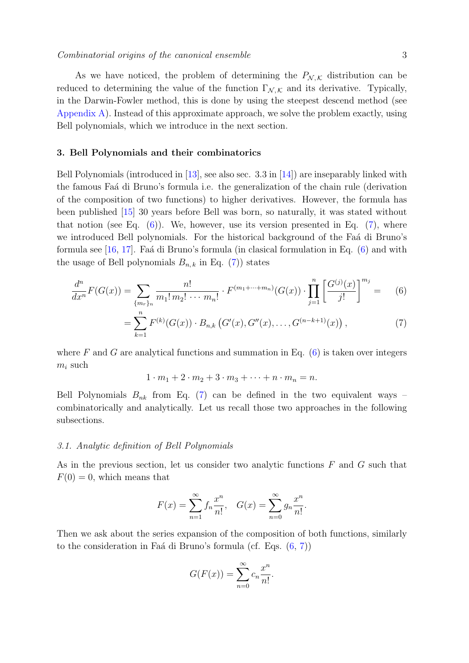As we have noticed, the problem of determining the  $P_{\mathcal{N},\mathcal{K}}$  distribution can be reduced to determining the value of the function  $\Gamma_{\mathcal{N},\mathcal{K}}$  and its derivative. Typically, in the Darwin-Fowler method, this is done by using the steepest descend method (see [Appendix A\)](#page-7-0). Instead of this approximate approach, we solve the problem exactly, using Bell polynomials, which we introduce in the next section.

## 3. Bell Polynomials and their combinatorics

Bell Polynomials (introduced in [\[13\]](#page-9-12), see also sec. 3.3 in [\[14\]](#page-9-13)) are inseparably linked with the famous Fa´a di Bruno's formula i.e. the generalization of the chain rule (derivation of the composition of two functions) to higher derivatives. However, the formula has been published [\[15\]](#page-9-14) 30 years before Bell was born, so naturally, it was stated without that notion (see Eq.  $(6)$ ). We, however, use its version presented in Eq.  $(7)$ , where we introduced Bell polynomials. For the historical background of the Fa $\acute{a}$  di Bruno's formula see  $[16, 17]$  $[16, 17]$ . Faá di Bruno's formula (in clasical formulation in Eq.  $(6)$  and with the usage of Bell polynomials  $B_{n,k}$  in Eq. [\(7\)](#page-2-1)) states

$$
\frac{d^n}{dx^n}F(G(x)) = \sum_{\{m_r\}_n} \frac{n!}{m_1! m_2! \cdots m_n!} \cdot F^{(m_1 + \cdots + m_n)}(G(x)) \cdot \prod_{j=1}^n \left[\frac{G^{(j)}(x)}{j!}\right]^{m_j} = (6)
$$

$$
= \sum_{k=1}^{n} F^{(k)}(G(x)) \cdot B_{n,k} (G'(x), G''(x), \dots, G^{(n-k+1)}(x)), \qquad (7)
$$

where F and G are analytical functions and summation in Eq.  $(6)$  is taken over integers  $\mathfrak{m}_i$  such

<span id="page-2-1"></span><span id="page-2-0"></span> $1 \cdot m_1 + 2 \cdot m_2 + 3 \cdot m_3 + \cdots + n \cdot m_n = n.$ 

Bell Polynomials  $B_{nk}$  from Eq. [\(7\)](#page-2-1) can be defined in the two equivalent ways – combinatorically and analytically. Let us recall those two approaches in the following subsections.

#### 3.1. Analytic definition of Bell Polynomials

As in the previous section, let us consider two analytic functions  $F$  and  $G$  such that  $F(0) = 0$ , which means that

$$
F(x) = \sum_{n=1}^{\infty} f_n \frac{x^n}{n!}, \quad G(x) = \sum_{n=0}^{\infty} g_n \frac{x^n}{n!}.
$$

Then we ask about the series expansion of the composition of both functions, similarly to the consideration in Faá di Bruno's formula (cf. Eqs.  $(6, 7)$  $(6, 7)$ )

$$
G(F(x)) = \sum_{n=0}^{\infty} c_n \frac{x^n}{n!}.
$$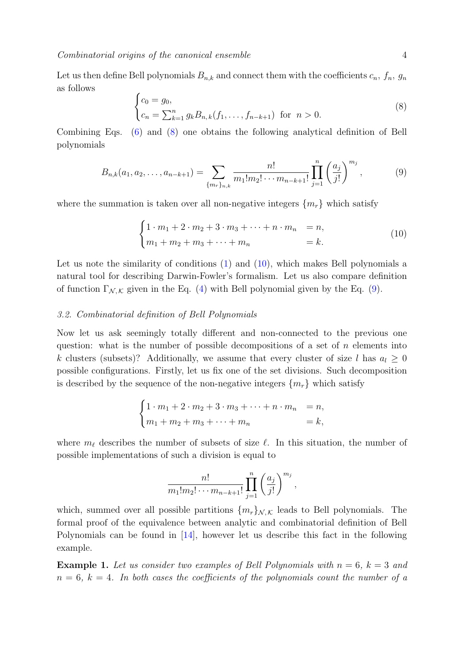Combinatorial origins of the canonical ensemble 4

Let us then define Bell polynomials  $B_{n,k}$  and connect them with the coefficients  $c_n$ ,  $f_n$ ,  $g_n$ as follows

<span id="page-3-0"></span>
$$
\begin{cases} c_0 = g_0, \\ c_n = \sum_{k=1}^n g_k B_{n,k}(f_1, \dots, f_{n-k+1}) \text{ for } n > 0. \end{cases}
$$
 (8)

Combining Eqs. [\(6\)](#page-2-0) and [\(8\)](#page-3-0) one obtains the following analytical definition of Bell polynomials

<span id="page-3-2"></span>
$$
B_{n,k}(a_1, a_2, \dots, a_{n-k+1}) = \sum_{\{m_r\}_{n,k}} \frac{n!}{m_1! m_2! \cdots m_{n-k+1}!} \prod_{j=1}^n \left(\frac{a_j}{j!}\right)^{m_j},\tag{9}
$$

where the summation is taken over all non-negative integers  $\{m_r\}$  which satisfy

<span id="page-3-1"></span>
$$
\begin{cases} 1 \cdot m_1 + 2 \cdot m_2 + 3 \cdot m_3 + \dots + n \cdot m_n & = n, \\ m_1 + m_2 + m_3 + \dots + m_n & = k. \end{cases}
$$
(10)

Let us note the similarity of conditions [\(1\)](#page-1-0) and [\(10\)](#page-3-1), which makes Bell polynomials a natural tool for describing Darwin-Fowler's formalism. Let us also compare definition of function  $\Gamma_{\mathcal{N},\mathcal{K}}$  given in the Eq. [\(4\)](#page-1-2) with Bell polynomial given by the Eq. [\(9\)](#page-3-2).

## 3.2. Combinatorial definition of Bell Polynomials

Now let us ask seemingly totally different and non-connected to the previous one question: what is the number of possible decompositions of a set of  $n$  elements into k clusters (subsets)? Additionally, we assume that every cluster of size l has  $a_l > 0$ possible configurations. Firstly, let us fix one of the set divisions. Such decomposition is described by the sequence of the non-negative integers  $\{m_r\}$  which satisfy

$$
\begin{cases} 1 \cdot m_1 + 2 \cdot m_2 + 3 \cdot m_3 + \dots + n \cdot m_n & = n, \\ m_1 + m_2 + m_3 + \dots + m_n & = k, \end{cases}
$$

where  $m_\ell$  describes the number of subsets of size  $\ell$ . In this situation, the number of possible implementations of such a division is equal to

$$
\frac{n!}{m_1!m_2!\cdots m_{n-k+1}!}\prod_{j=1}^n\left(\frac{a_j}{j!}\right)^{m_j},\,
$$

which, summed over all possible partitions  $\{m_r\}_{N,\mathcal{K}}$  leads to Bell polynomials. The formal proof of the equivalence between analytic and combinatorial definition of Bell Polynomials can be found in [\[14\]](#page-9-13), however let us describe this fact in the following example.

**Example 1.** Let us consider two examples of Bell Polynomials with  $n = 6$ ,  $k = 3$  and  $n = 6$ ,  $k = 4$ . In both cases the coefficients of the polynomials count the number of a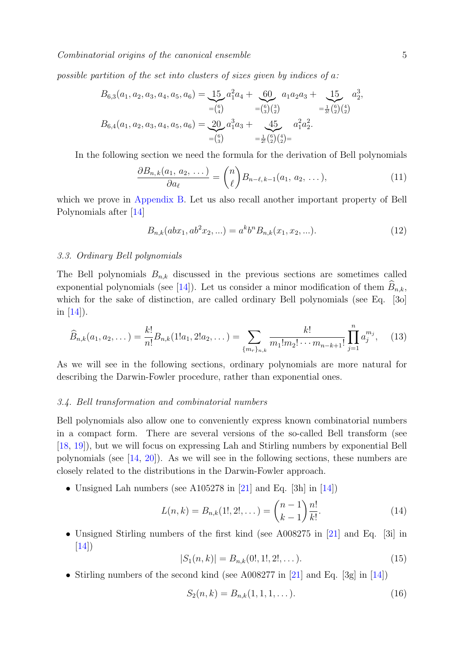possible partition of the set into clusters of sizes given by indices of a:

$$
B_{6,3}(a_1, a_2, a_3, a_4, a_5, a_6) = \underbrace{15}_{= {6 \choose 4}} a_1^2 a_4 + \underbrace{60}_{= {6 \choose 3}{3 \choose 2}} a_1 a_2 a_3 + \underbrace{15}_{= \frac{1}{3!}{6 \choose 2}{3 \choose 2}} a_3^3,
$$
  
\n
$$
B_{6,4}(a_1, a_2, a_3, a_4, a_5, a_6) = \underbrace{20}_{= {6 \choose 3}} a_1^3 a_3 + \underbrace{45}_{= \frac{1}{2!}{6 \choose 2}{4 \choose 2}} a_1^2 a_2^2.
$$

In the following section we need the formula for the derivation of Bell polynomials

<span id="page-4-5"></span>
$$
\frac{\partial B_{n,k}(a_1, a_2, \dots)}{\partial a_\ell} = \binom{n}{\ell} B_{n-\ell,k-1}(a_1, a_2, \dots),\tag{11}
$$

which we prove in [Appendix B.](#page-8-0) Let us also recall another important property of Bell Polynomials after [\[14\]](#page-9-13)

<span id="page-4-1"></span>
$$
B_{n,k}(abx_1, ab^2x_2,...) = a^k b^n B_{n,k}(x_1, x_2,...).
$$
 (12)

#### 3.3. Ordinary Bell polynomials

The Bell polynomials  $B_{n,k}$  discussed in the previous sections are sometimes called exponential polynomials (see [\[14\]](#page-9-13)). Let us consider a minor modification of them  $B_{n,k}$ , which for the sake of distinction, are called ordinary Bell polynomials (see Eq. [30] in  $|14|$ ).

<span id="page-4-0"></span>
$$
\widehat{B}_{n,k}(a_1, a_2, \dots) = \frac{k!}{n!} B_{n,k}(1!a_1, 2!a_2, \dots) = \sum_{\{m_r\}_{n,k}} \frac{k!}{m_1!m_2! \cdots m_{n-k+1}!} \prod_{j=1}^n a_j^{m_j},\tag{13}
$$

As we will see in the following sections, ordinary polynomials are more natural for describing the Darwin-Fowler procedure, rather than exponential ones.

#### 3.4. Bell transformation and combinatorial numbers

Bell polynomials also allow one to conveniently express known combinatorial numbers in a compact form. There are several versions of the so-called Bell transform (see [\[18,](#page-9-17) [19\]](#page-9-18)), but we will focus on expressing Lah and Stirling numbers by exponential Bell polynomials (see [\[14,](#page-9-13) [20\]](#page-9-19)). As we will see in the following sections, these numbers are closely related to the distributions in the Darwin-Fowler approach.

• Unsigned Lah numbers (see A105278 in  $[21]$  and Eq. [3h] in [\[14\]](#page-9-13))

<span id="page-4-2"></span>
$$
L(n,k) = B_{n,k}(1!,2!,\dots) = \binom{n-1}{k-1} \frac{n!}{k!}.
$$
 (14)

• Unsigned Stirling numbers of the first kind (see A008275 in [\[21\]](#page-9-20) and Eq. [3i] in [\[14\]](#page-9-13))

<span id="page-4-3"></span>
$$
|S_1(n,k)| = B_{n,k}(0!, 1!, 2!, \dots). \tag{15}
$$

• Stirling numbers of the second kind (see A008277 in [\[21\]](#page-9-20) and Eq. [3g] in [\[14\]](#page-9-13))

<span id="page-4-4"></span>
$$
S_2(n,k) = B_{n,k}(1,1,1,\dots). \tag{16}
$$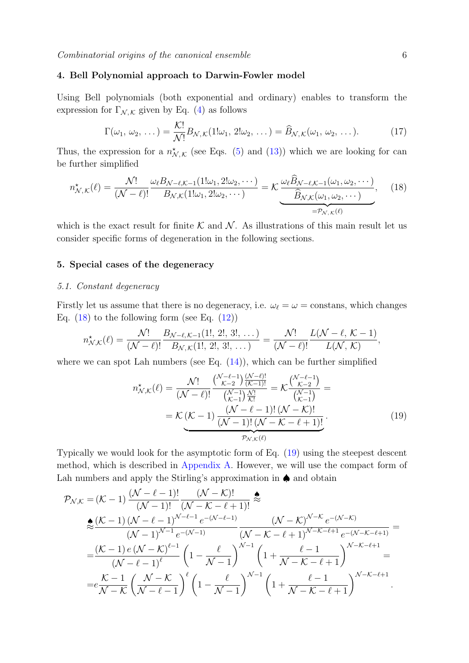## 4. Bell Polynomial approach to Darwin-Fowler model

Using Bell polynomials (both exponential and ordinary) enables to transform the expression for  $\Gamma_{\mathcal{N},\mathcal{K}}$  given by Eq. [\(4\)](#page-1-2) as follows

$$
\Gamma(\omega_1, \omega_2, \dots) = \frac{\mathcal{K}!}{\mathcal{N}!} B_{\mathcal{N}, \mathcal{K}} (1! \omega_1, 2! \omega_2, \dots) = \widehat{B}_{\mathcal{N}, \mathcal{K}} (\omega_1, \omega_2, \dots).
$$
 (17)

Thus, the expression for a  $n^{\star}_{\mathcal{N},\mathcal{K}}$  (see Eqs. [\(5\)](#page-1-3) and [\(13\)](#page-4-0)) which we are looking for can be further simplified

<span id="page-5-0"></span>
$$
n_{\mathcal{N},\mathcal{K}}^{\star}(\ell) = \frac{\mathcal{N}!}{(\mathcal{N}-\ell)!} \frac{\omega_{\ell} B_{\mathcal{N}-\ell,\mathcal{K}-1}(1!\omega_1,2!\omega_2,\cdots)}{B_{\mathcal{N},\mathcal{K}}(1!\omega_1,2!\omega_2,\cdots)} = \mathcal{K} \underbrace{\frac{\omega_{\ell} \widehat{B}_{\mathcal{N}-\ell,\mathcal{K}-1}(\omega_1,\omega_2,\cdots)}{\widehat{B}_{\mathcal{N},\mathcal{K}}(\omega_1,\omega_2,\cdots)}}_{=\mathcal{P}_{\mathcal{N},\mathcal{K}}(\ell)},\tag{18}
$$

which is the exact result for finite  $K$  and  $N$ . As illustrations of this main result let us consider specific forms of degeneration in the following sections.

## 5. Special cases of the degeneracy

#### 5.1. Constant degeneracy

Firstly let us assume that there is no degeneracy, i.e.  $\omega_{\ell} = \omega = \text{constants}$ , which changes Eq.  $(18)$  to the following form (see Eq.  $(12)$ )

$$
n^{\star}_{\mathcal{N},\mathcal{K}}(\ell) = \frac{\mathcal{N}!}{(\mathcal{N}-\ell)!} \frac{B_{\mathcal{N}-\ell,\mathcal{K}-1}(1!,\,2!,\,3!,\,\ldots)}{B_{\mathcal{N},\mathcal{K}}(1!,\,2!,\,3!,\,\ldots)} = \frac{\mathcal{N}!}{(\mathcal{N}-\ell)!} \frac{L(\mathcal{N}-\ell,\,\mathcal{K}-1)}{L(\mathcal{N},\,\mathcal{K})},
$$

where we can spot Lah numbers (see Eq.  $(14)$ ), which can be further simplified

<span id="page-5-1"></span>
$$
n_{\mathcal{N},\mathcal{K}}^{\star}(\ell) = \frac{\mathcal{N}!}{(\mathcal{N}-\ell)!} \frac{\binom{\mathcal{N}-\ell-1}{\mathcal{K}-2} \frac{(\mathcal{N}-\ell)!}{(\mathcal{K}-1)!}}{\binom{\mathcal{N}-1}{\mathcal{K}-1}} = \mathcal{K} \frac{\binom{\mathcal{N}-\ell-1}{\mathcal{K}-2}}{\binom{\mathcal{N}-1}{\mathcal{K}-1}} =
$$
  
=  $\mathcal{K}(\mathcal{K}-1) \frac{(\mathcal{N}-\ell-1)!(\mathcal{N}-\mathcal{K})!}{(\mathcal{N}-1)!(\mathcal{N}-\mathcal{K}-\ell+1)!}$  (19)

Typically we would look for the asymptotic form of Eq. [\(19\)](#page-5-1) using the steepest descent method, which is described in [Appendix A.](#page-7-0) However, we will use the compact form of Lah numbers and apply the Stirling's approximation in ♠ and obtain

$$
\mathcal{P}_{\mathcal{N},\mathcal{K}} = (\mathcal{K} - 1) \frac{(\mathcal{N} - \ell - 1)!}{(\mathcal{N} - 1)!} \frac{(\mathcal{N} - \mathcal{K})!}{(\mathcal{N} - \mathcal{K} - \ell + 1)!} \stackrel{\text{def}}{\approx}
$$
\n
$$
\stackrel{\text{def}}{=} \frac{(\mathcal{K} - 1) (\mathcal{N} - \ell - 1)^{\mathcal{N} - \ell - 1} e^{-(\mathcal{N} - \ell - 1)}}{(\mathcal{N} - 1)^{\mathcal{N} - 1} e^{-(\mathcal{N} - \ell - 1)}} \frac{(\mathcal{N} - \mathcal{K})^{\mathcal{N} - \mathcal{K}} e^{-(\mathcal{N} - \mathcal{K})}}{(\mathcal{N} - \mathcal{K} - \ell + 1)^{\mathcal{N} - \mathcal{K} - \ell + 1} e^{-(\mathcal{N} - \mathcal{K} - \ell + 1)}} =
$$
\n
$$
= \frac{(\mathcal{K} - 1) e (\mathcal{N} - \mathcal{K})^{\ell - 1}}{(\mathcal{N} - \ell - 1)^{\ell}} \left(1 - \frac{\ell}{\mathcal{N} - 1}\right)^{\mathcal{N} - 1} \left(1 + \frac{\ell - 1}{\mathcal{N} - \mathcal{K} - \ell + 1}\right)^{\mathcal{N} - \mathcal{K} - \ell + 1} =
$$
\n
$$
= e \frac{\mathcal{K} - 1}{\mathcal{N} - \mathcal{K}} \left(\frac{\mathcal{N} - \mathcal{K}}{\mathcal{N} - \ell - 1}\right)^{\ell} \left(1 - \frac{\ell}{\mathcal{N} - 1}\right)^{\mathcal{N} - 1} \left(1 + \frac{\ell - 1}{\mathcal{N} - \mathcal{K} - \ell + 1}\right)^{\mathcal{N} - \mathcal{K} - \ell + 1}.
$$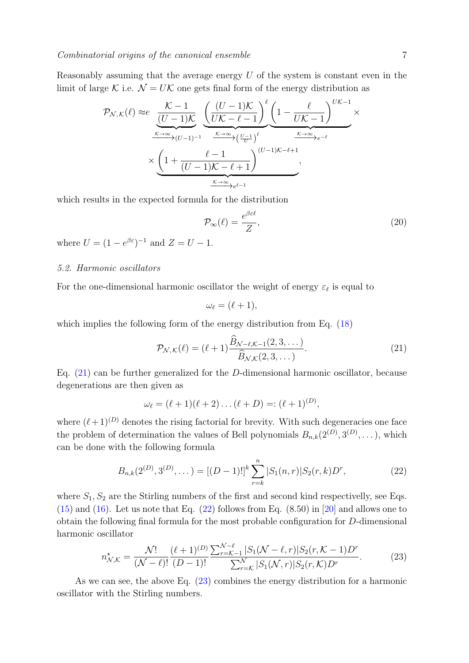Reasonably assuming that the average energy  $U$  of the system is constant even in the limit of large K i.e.  $\mathcal{N} = U\mathcal{K}$  one gets final form of the energy distribution as

$$
\mathcal{P}_{\mathcal{N},\mathcal{K}}(\ell) \approx e \underbrace{\frac{\mathcal{K}-1}{(U-1)\mathcal{K}} \underbrace{\left(\frac{(U-1)\mathcal{K}}{U\mathcal{K}-\ell-1}\right)^{\ell} \left(1-\frac{\ell}{U\mathcal{K}-1}\right)^{U\mathcal{K}-1}}_{\times \sum_{\substack{\kappa \to \infty \\ \hbar \to \infty}} \mathcal{N}(\ell-1)^{-1}} \xrightarrow{\frac{\mathcal{K}\to \infty}{\kappa \to \infty}} \left(\frac{U-1}{U}\right)^{\ell} \xrightarrow{\frac{\mathcal{K}\to \infty}{\kappa \to \infty}} e^{-\ell}} \times \underbrace{\left(1+\frac{\ell-1}{(U-1)\mathcal{K}-\ell+1}\right)^{(U-1)\mathcal{K}-\ell+1}}_{\frac{\mathcal{K}\to \infty}{\kappa \to \infty} e^{\ell-1}}.
$$

which results in the expected formula for the distribution

<span id="page-6-3"></span>
$$
\mathcal{P}_{\infty}(\ell) = \frac{e^{\beta \varepsilon \ell}}{Z},\tag{20}
$$

where  $U = (1 - e^{\beta \varepsilon})^{-1}$  and  $Z = U - 1$ .

## 5.2. Harmonic oscillators

For the one-dimensional harmonic oscillator the weight of energy  $\varepsilon_\ell$  is equal to

$$
\omega_{\ell}=(\ell+1),
$$

which implies the following form of the energy distribution from Eq.  $(18)$ 

<span id="page-6-0"></span>
$$
\mathcal{P}_{\mathcal{N},\mathcal{K}}(\ell) = (\ell+1)\frac{\widehat{B}_{\mathcal{N}-\ell,\mathcal{K}-1}(2,3,\dots)}{\widehat{B}_{\mathcal{N},\mathcal{K}}(2,3,\dots)}.
$$
\n(21)

Eq. [\(21\)](#page-6-0) can be further generalized for the D-dimensional harmonic oscillator, because degenerations are then given as

$$
\omega_{\ell} = (\ell+1)(\ell+2)\dots(\ell+D) =: (\ell+1)^{(D)},
$$

where  $(\ell + 1)^{(D)}$  denotes the rising factorial for brevity. With such degeneracies one face the problem of determination the values of Bell polynomials  $B_{n,k}(2^{(D)}, 3^{(D)}, \dots)$ , which can be done with the following formula

<span id="page-6-1"></span>
$$
B_{n,k}(2^{(D)},3^{(D)},\dots) = [(D-1)!]^k \sum_{r=k}^n |S_1(n,r)| S_2(r,k) D^r,
$$
\n(22)

where  $S_1, S_2$  are the Stirling numbers of the first and second kind respectivelly, see Eqs.  $(15)$  and  $(16)$ . Let us note that Eq.  $(22)$  follows from Eq.  $(8.50)$  in  $[20]$  and allows one to obtain the following final formula for the most probable configuration for D-dimensional harmonic oscillator

<span id="page-6-2"></span>
$$
n_{\mathcal{N},\mathcal{K}}^{\star} = \frac{\mathcal{N}!}{(\mathcal{N}-\ell)!} \frac{(\ell+1)^{(D)}}{(D-1)!} \frac{\sum_{r=\mathcal{K}-1}^{\mathcal{N}-\ell} |S_1(\mathcal{N}-\ell,r)| S_2(r,\mathcal{K}-1) D^r}{\sum_{r=\mathcal{K}}^{\mathcal{N}} |S_1(\mathcal{N},r)| S_2(r,\mathcal{K}) D^r}.
$$
(23)

As we can see, the above Eq. [\(23\)](#page-6-2) combines the energy distribution for a harmonic oscillator with the Stirling numbers.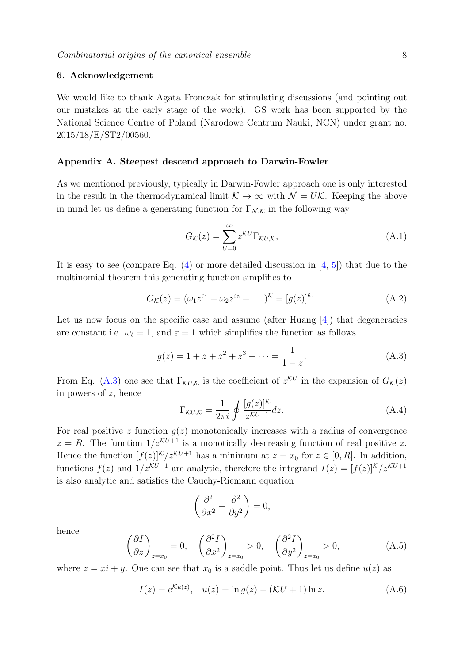## 6. Acknowledgement

We would like to thank Agata Fronczak for stimulating discussions (and pointing out our mistakes at the early stage of the work). GS work has been supported by the National Science Centre of Poland (Narodowe Centrum Nauki, NCN) under grant no. 2015/18/E/ST2/00560.

## <span id="page-7-0"></span>Appendix A. Steepest descend approach to Darwin-Fowler

As we mentioned previously, typically in Darwin-Fowler approach one is only interested in the result in the thermodynamical limit  $\mathcal{K} \to \infty$  with  $\mathcal{N} = U\mathcal{K}$ . Keeping the above in mind let us define a generating function for  $\Gamma_{\mathcal{N},\mathcal{K}}$  in the following way

$$
G_{\mathcal{K}}(z) = \sum_{U=0}^{\infty} z^{\mathcal{K}U} \Gamma_{\mathcal{K}U,\mathcal{K}},
$$
\n(A.1)

It is easy to see (compare Eq.  $(4)$  or more detailed discussion in  $[4, 5]$  $[4, 5]$ ) that due to the multinomial theorem this generating function simplifies to

$$
G_{\mathcal{K}}(z) = (\omega_1 z^{\varepsilon_1} + \omega_2 z^{\varepsilon_2} + \dots)^{\mathcal{K}} = [g(z)]^{\mathcal{K}}.
$$
 (A.2)

Let us now focus on the specific case and assume (after Huang [\[4\]](#page-9-3)) that degeneracies are constant i.e.  $\omega_{\ell} = 1$ , and  $\varepsilon = 1$  which simplifies the function as follows

$$
g(z) = 1 + z + z2 + z3 + \dots = \frac{1}{1 - z}.
$$
 (A.3)

From Eq. [\(A.3\)](#page-7-1) one see that  $\Gamma_{\mathcal{K}U,\mathcal{K}}$  is the coefficient of  $z^{\mathcal{K}U}$  in the expansion of  $G_{\mathcal{K}}(z)$ in powers of z, hence

<span id="page-7-1"></span>
$$
\Gamma_{\mathcal{K}U,\mathcal{K}} = \frac{1}{2\pi i} \oint \frac{[g(z)]^{\mathcal{K}}}{z^{\mathcal{K}U+1}} dz.
$$
\n(A.4)

For real positive z function  $g(z)$  monotonically increases with a radius of convergence  $z = R$ . The function  $1/z^{KU+1}$  is a monotically descreasing function of real positive z. Hence the function  $[f(z)]^{\mathcal{K}}/z^{\mathcal{K}U+1}$  has a minimum at  $z = x_0$  for  $z \in [0, R]$ . In addition, functions  $f(z)$  and  $1/z^{KU+1}$  are analytic, therefore the integrand  $I(z) = [f(z)]^K/z^{KU+1}$ is also analytic and satisfies the Cauchy-Riemann equation

$$
\left(\frac{\partial^2}{\partial x^2} + \frac{\partial^2}{\partial y^2}\right) = 0,
$$

hence

<span id="page-7-2"></span>
$$
\left(\frac{\partial I}{\partial z}\right)_{z=x_0} = 0, \quad \left(\frac{\partial^2 I}{\partial x^2}\right)_{z=x_0} > 0, \quad \left(\frac{\partial^2 I}{\partial y^2}\right)_{z=x_0} > 0,\tag{A.5}
$$

where  $z = xi + y$ . One can see that  $x_0$  is a saddle point. Thus let us define  $u(z)$  as

$$
I(z) = e^{\mathcal{K}u(z)}, \quad u(z) = \ln g(z) - (\mathcal{K}U + 1)\ln z.
$$
 (A.6)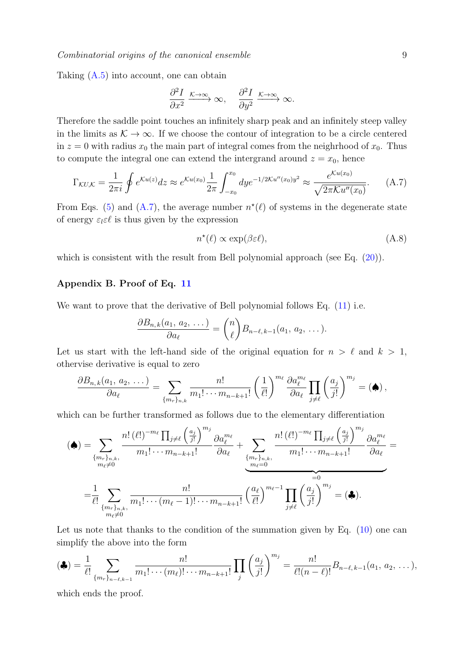Taking [\(A.5\)](#page-7-2) into account, one can obtain

$$
\frac{\partial^2 I}{\partial x^2} \xrightarrow{\mathcal{K} \to \infty} \infty, \quad \frac{\partial^2 I}{\partial y^2} \xrightarrow{\mathcal{K} \to \infty} \infty.
$$

Therefore the saddle point touches an infinitely sharp peak and an infinitely steep valley in the limits as  $\mathcal{K} \to \infty$ . If we choose the contour of integration to be a circle centered in  $z = 0$  with radius  $x_0$  the main part of integral comes from the neighrhood of  $x_0$ . Thus to compute the integral one can extend the intergrand around  $z = x_0$ , hence

<span id="page-8-1"></span>
$$
\Gamma_{\mathcal{K}U,\mathcal{K}} = \frac{1}{2\pi i} \oint e^{\mathcal{K}u(z)} dz \approx e^{\mathcal{K}u(x_0)} \frac{1}{2\pi} \int_{-x_0}^{x_0} dy e^{-1/2\mathcal{K}u''(x_0)y^2} \approx \frac{e^{\mathcal{K}u(x_0)}}{\sqrt{2\pi \mathcal{K}u''(x_0)}}.
$$
 (A.7)

From Eqs. [\(5\)](#page-1-3) and [\(A.7\)](#page-8-1), the average number  $n^*(\ell)$  of systems in the degenerate state of energy  $\varepsilon_l \varepsilon \ell$  is thus given by the expression

$$
n^{\star}(\ell) \propto \exp(\beta \varepsilon \ell), \tag{A.8}
$$

which is consistent with the result from Bell polynomial approach (see Eq.  $(20)$ ).

## <span id="page-8-0"></span>Appendix B. Proof of Eq. [11](#page-4-5)

We want to prove that the derivative of Bell polynomial follows Eq.  $(11)$  i.e.

$$
\frac{\partial B_{n,k}(a_1, a_2, \ldots)}{\partial a_{\ell}} = \binom{n}{\ell} B_{n-\ell,k-1}(a_1, a_2, \ldots).
$$

Let us start with the left-hand side of the original equation for  $n > \ell$  and  $k > 1$ , othervise derivative is equal to zero

$$
\frac{\partial B_{n,k}(a_1, a_2, \ldots)}{\partial a_{\ell}} = \sum_{\{m_r\}_{n,k}} \frac{n!}{m_1! \cdots m_{n-k+1}!} \left(\frac{1}{\ell!}\right)^{m_{\ell}} \frac{\partial a_{\ell}^{m_{\ell}}}{\partial a_{\ell}} \prod_{j \neq \ell} \left(\frac{a_j}{j!}\right)^{m_j} = (\spadesuit),
$$

which can be further transformed as follows due to the elementary differentiation

$$
(\spadesuit) = \sum_{\substack{\{m_r\}_{n,k}, \\ m_\ell \neq 0}} \frac{n! \, (\ell!)^{-m_\ell} \prod_{j \neq \ell} \left(\frac{a_j}{j!}\right)^{m_j}}{m_1! \cdots m_{n-k+1}!} \frac{\partial a_\ell^{m_\ell}}{\partial a_\ell} + \sum_{\substack{\{m_r\}_{n,k}, \\ m_\ell = 0}} \frac{n! \, (\ell!)^{-m_\ell} \prod_{j \neq \ell} \left(\frac{a_j}{j!}\right)^{m_j}}{m_1! \cdots m_{n-k+1}!} \frac{\partial a_\ell^{m_\ell}}{\partial a_\ell} = \\ = \frac{1}{\ell!} \sum_{\substack{\{m_r\}_{n,k}, \\ m_\ell \neq 0}} \frac{n!}{m_1! \cdots (m_\ell - 1)! \cdots m_{n-k+1}!} \left(\frac{a_\ell}{\ell!}\right)^{m_\ell - 1} \prod_{j \neq \ell} \left(\frac{a_j}{j!}\right)^{m_j} = (\clubsuit).
$$

Let us note that thanks to the condition of the summation given by Eq.  $(10)$  one can simplify the above into the form

$$
(\clubsuit) = \frac{1}{\ell!} \sum_{\{m_r\}_{n-\ell,k-1}} \frac{n!}{m_1! \cdots (m_\ell)! \cdots m_{n-k+1}!} \prod_j \left(\frac{a_j}{j!}\right)^{m_j} = \frac{n!}{\ell!(n-\ell)!} B_{n-\ell,k-1}(a_1, a_2, \ldots),
$$

which ends the proof.